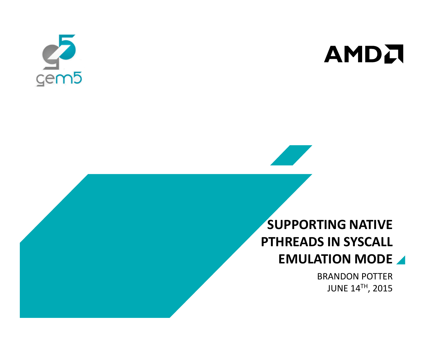



# SUPPORTING NATIVE PTHREADS IN SYSCALL EMULATION MODE

BRANDON POTTERJUNE 14TH, 2015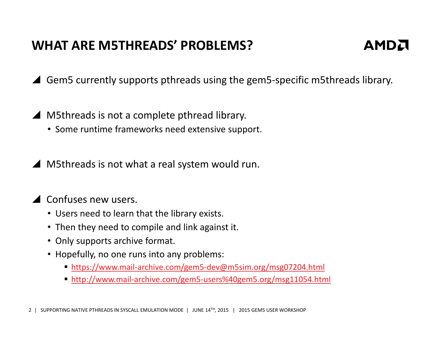# WHAT ARE M5THREADS' PROBLEMS?



▲ Gem5 currently supports pthreads using the gem5-specific m5threads library.

- ▲ M5threads is not a complete pthread library.
	- Some runtime frameworks need extensive support.

▲ M5threads is not what a real system would run.

# ▲ Confuses new users.

- Users need to learn that the library exists.
- Then they need to compile and link against it.
- Only supports archive format.
- Hopefully, no one runs into any problems:
	- https://www.mail-archive.com/gem5-dev@m5sim.org/msg07204.html
	- http://www.mail-archive.com/gem5-users%40gem5.org/msg11054.html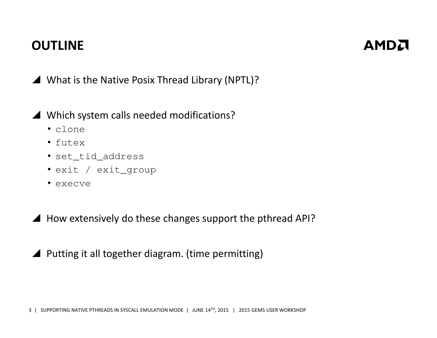# **OUTLINE**



What is the Native Posix Thread Library (NPTL)?

- Which system calls needed modifications?
	- clone
	- futex
	- set\_tid\_address
	- exit / exit\_group
	- execve
- $\blacktriangle$  How extensively do these changes support the pthread API?
- ▲ Putting it all together diagram. (time permitting)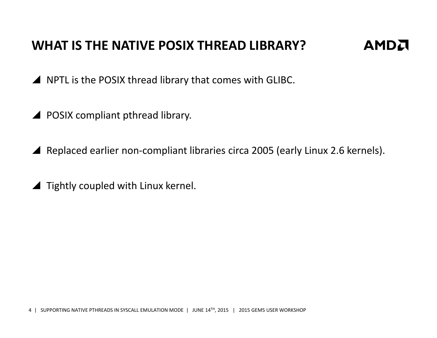# WHAT IS THE NATIVE POSIX THREAD LIBRARY?

AMDA

A NPTL is the POSIX thread library that comes with GLIBC.

- **A** POSIX compliant pthread library.
- A Replaced earlier non-compliant libraries circa 2005 (early Linux 2.6 kernels).
- ▲ Tightly coupled with Linux kernel.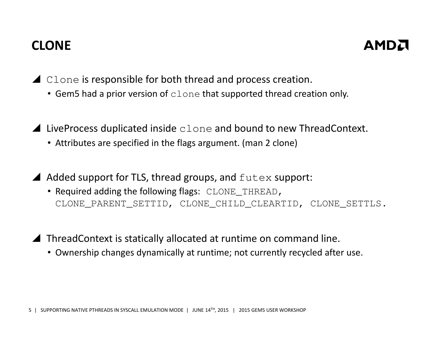# CLONE



▲ Clone is responsible for both thread and process creation.

- Gem5 had a prior version of  $_{\texttt{clone}}$  that supported thread creation only.
- $\blacktriangle$  LiveProcess duplicated inside clone and bound to new ThreadContext.
	- Attributes are specified in the flags argument. (man 2 clone)

A Added support for TLS, thread groups, and  $f$ utex support:

- Required adding the following flags: CLONE\_THREAD, CLONE\_PARENT\_SETTID, CLONE\_CHILD\_CLEARTID, CLONE\_SETTLS.
- ▲ ThreadContext is statically allocated at runtime on command line.
	- Ownership changes dynamically at runtime; not currently recycled after use.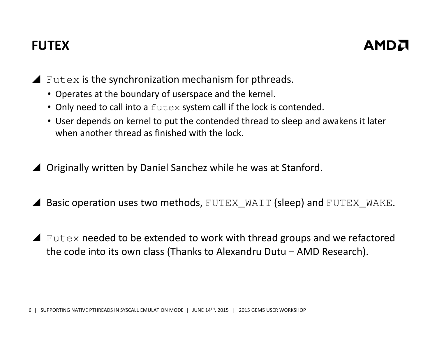# FUTEX



Futex is the synchronization mechanism for pthreads.

- Operates at the boundary of userspace and the kernel.
- Only need to call into a  $f$ utex system call if the lock is contended.
- User depends on kernel to put the contended thread to sleep and awakens it later when another thread as finished with the lock.
- ▲ Originally written by Daniel Sanchez while he was at Stanford.
- $\blacktriangle$  Basic operation uses two methods, FUTEX\_WAIT (sleep) and FUTEX\_WAKE.
- $\blacktriangle$  Futex needed to be extended to work with thread groups and we refactored<br>the sode into its own closs (Thanks to Alexandry Duty AMD Bessersh) the code into its own class (Thanks to Alexandru Dutu – AMD Research).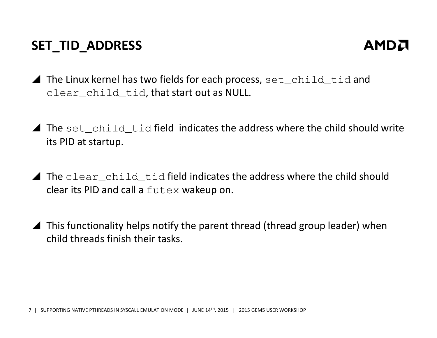# SET\_TID\_ADDRESS



- The Linux kernel has two fields for each process,  $set\_child\_tid$  and<br>also  $s$  and tid that start out as NUUL clear\_child\_tid, that start out as NULL.
- The set\_child\_tid field indicates the address where the child should write<br>its PID at startup its PID at startup.
- The clear\_child\_tid field indicates the address where the child should<br>clear its PID and sall a futor wakeup op clear its PID and call a  ${\tt futes}$  wakeup on.
- $\blacktriangle$  This functionality helps notify the parent thread (thread group leader) when child throads finish their tasks child threads finish their tasks.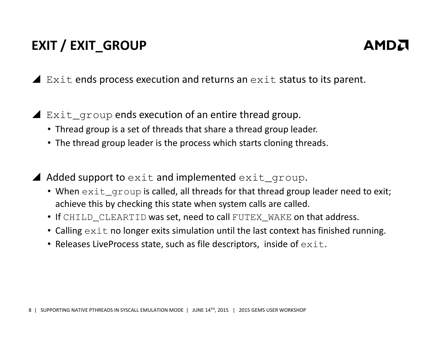# EXIT / EXIT\_GROUP



 $\blacktriangle$  Exit ends process execution and returns an exit status to its parent.

- Exit\_group ends execution of an entire thread group.
	- Thread group is a set of threads that share a thread group leader.
	- The thread group leader is the process which starts cloning threads.

 $\triangle$  Added support to  $ext$  and implemented  $ext_{\text{cyc}}$  group.

- When  $ext_{group}$  is called, all threads for that thread group leader need to exit; achieve this by checking this state when system calls are called.
- If CHILD\_CLEARTID was set, need to call FUTEX\_WAKE on that address.
- Calling  $ext{exit}$  no longer exits simulation until the last context has finished running.
- Releases LiveProcess state, such as file descriptors, inside of  $exttt{exit}$ .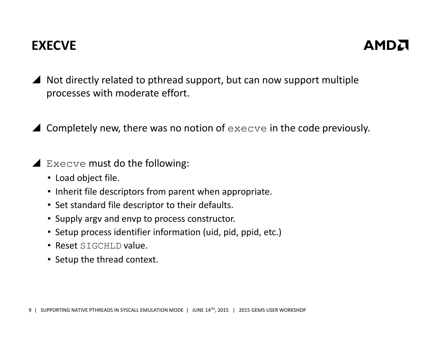# EXECVE



- $\overline{\phantom{a}}$  Not directly related to pthread support, but can now support multiple processes with moderate effort.
- $\blacktriangle$  Completely new, there was no notion of  $\text{execve}$  in the code previously.
- Execve must do the following:
	- Load object file.
	- Inherit file descriptors from parent when appropriate.
	- Set standard file descriptor to their defaults.
	- Supply argv and envp to process constructor.
	- Setup process identifier information (uid, pid, ppid, etc.)
	- Reset SIGCHLD value.
	- Setup the thread context.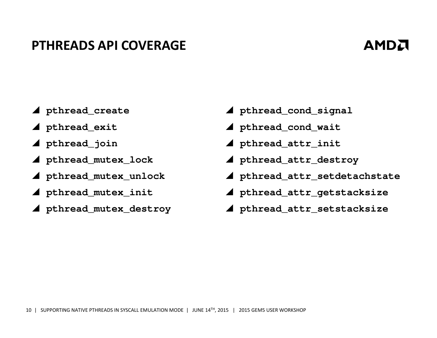#### PTHREADS API COVERAGE

# AMDA

- **pthread\_create**
- **pthread\_exit**
- **pthread\_join**
- **pthread\_mutex\_lock**
- **pthread\_mutex\_unlock**
- **pthread\_mutex\_init**
- **pthread\_mutex\_destroy**
- **pthread\_cond\_signal**
- **pthread\_cond\_wait**
- **pthread\_attr\_init**
- **pthread\_attr\_destroy**
- **pthread\_attr\_setdetachstate**
- **pthread\_attr\_getstacksize**
- **pthread\_attr\_setstacksize**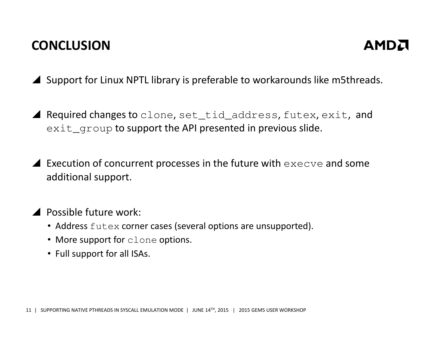# **CONCLUSION**



▲ Support for Linux NPTL library is preferable to workarounds like m5threads.

**A** Required changes to clone,  $set\_tid\_address$ ,  $futes$ ,  $exit$ , and  $\tt{exit_grow}$  to support the API presented in previous slide.

**Execution of concurrent processes in the future with**  $\epsilon$ **xecve and some** additional support.

▲ Possible future work:

- Address futex corner cases (several options are unsupported).
- More support for  $\texttt{clone}$  options.
- Full support for all ISAs.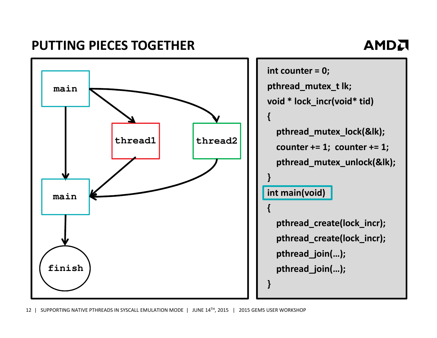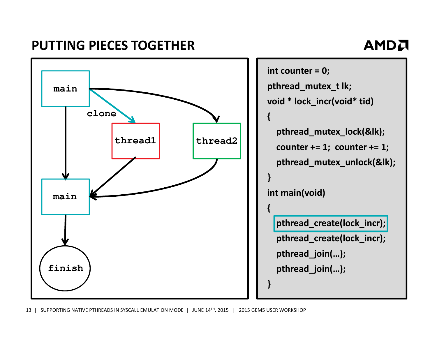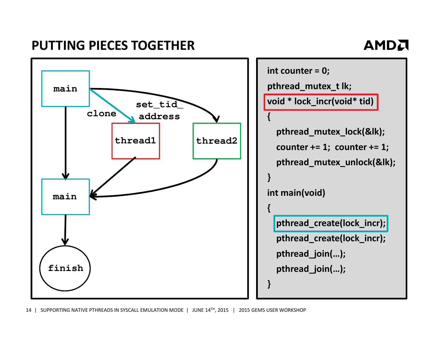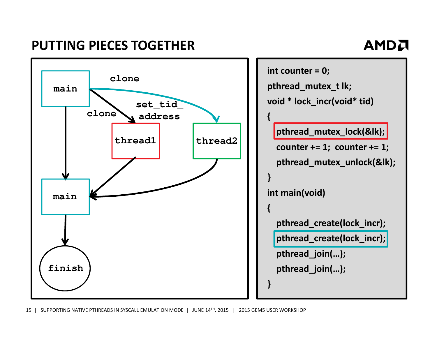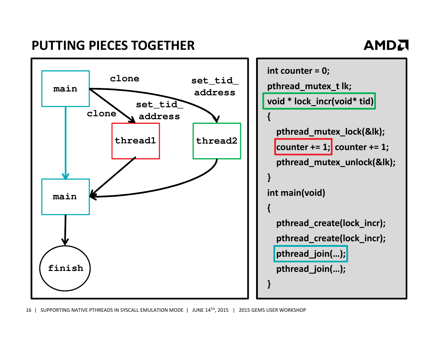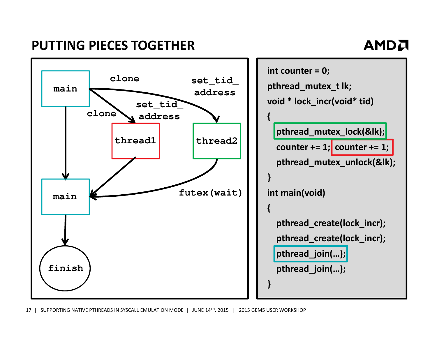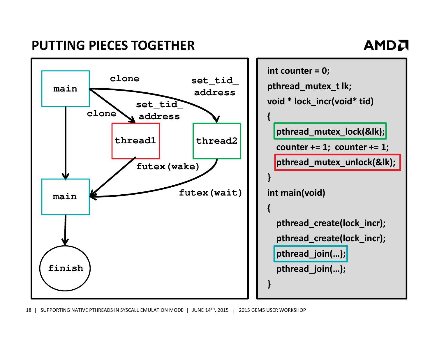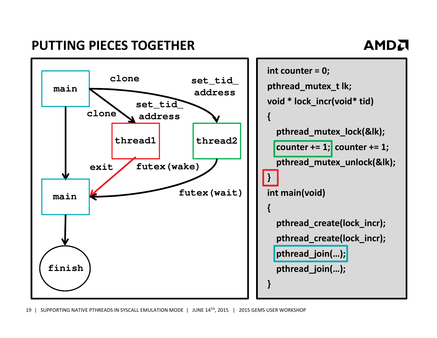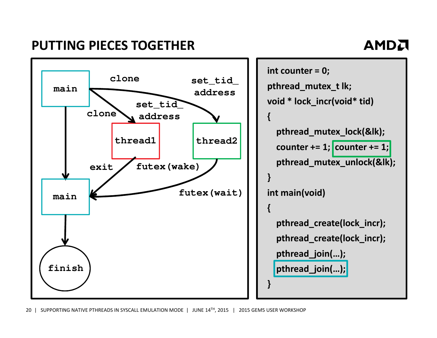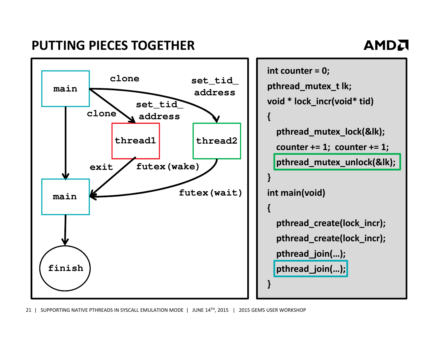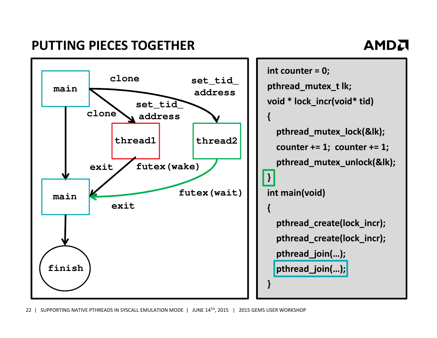

22 | SUPPORTING NATIVE PTHREADS IN SYSCALL EMULATION MODE | JUNE 14<sup>TH</sup>, 2015 | 2015 GEM5 USER WORKSHOP